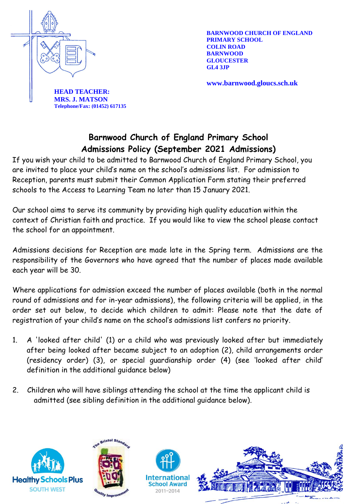

**BARNWOOD CHURCH OF ENGLAND PRIMARY SCHOOL COLIN ROAD BARNWOOD GLOUCESTER**

**www.barnwood.gloucs.sch.uk**

**HEAD TEACHER: MRS. J. MATSON Telephone/Fax: (01452) 617135**

# **Barnwood Church of England Primary School Admissions Policy (September 2021 Admissions)**

If you wish your child to be admitted to Barnwood Church of England Primary School, you are invited to place your child's name on the school's admissions list. For admission to Reception, parents must submit their Common Application Form stating their preferred schools to the Access to Learning Team no later than 15 January 2021.

Our school aims to serve its community by providing high quality education within the context of Christian faith and practice. If you would like to view the school please contact the school for an appointment.

Admissions decisions for Reception are made late in the Spring term. Admissions are the responsibility of the Governors who have agreed that the number of places made available each year will be 30.

Where applications for admission exceed the number of places available (both in the normal round of admissions and for in-year admissions), the following criteria will be applied, in the order set out below, to decide which children to admit: Please note that the date of registration of your child's name on the school's admissions list confers no priority.

- 1. A 'looked after child' (1) or a child who was previously looked after but immediately after being looked after became subject to an adoption (2), child arrangements order (residency order) (3), or special guardianship order (4) (see 'looked after child' definition in the additional guidance below)
- 2. Children who will have siblings attending the school at the time the applicant child is admitted (see sibling definition in the additional guidance below).





Internationa **School Award** 2011-2014

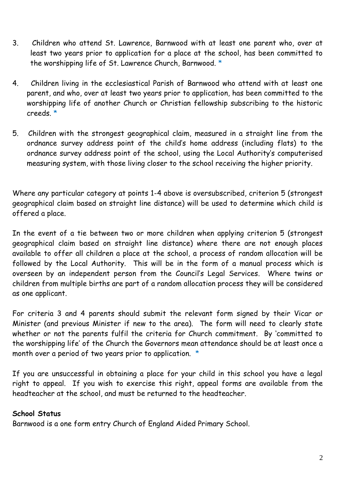- 3. Children who attend St. Lawrence, Barnwood with at least one parent who, over at least two years prior to application for a place at the school, has been committed to the worshipping life of St. Lawrence Church, Barnwood. \*
- 4. Children living in the ecclesiastical Parish of Barnwood who attend with at least one parent, and who, over at least two years prior to application, has been committed to the worshipping life of another Church or Christian fellowship subscribing to the historic creeds. \*
- 5. Children with the strongest geographical claim, measured in a straight line from the ordnance survey address point of the child's home address (including flats) to the ordnance survey address point of the school, using the Local Authority's computerised measuring system, with those living closer to the school receiving the higher priority.

Where any particular category at points 1-4 above is oversubscribed, criterion 5 (strongest geographical claim based on straight line distance) will be used to determine which child is offered a place.

In the event of a tie between two or more children when applying criterion 5 (strongest geographical claim based on straight line distance) where there are not enough places available to offer all children a place at the school, a process of random allocation will be followed by the Local Authority. This will be in the form of a manual process which is overseen by an independent person from the Council's Legal Services. Where twins or children from multiple births are part of a random allocation process they will be considered as one applicant.

For criteria 3 and 4 parents should submit the relevant form signed by their Vicar or Minister (and previous Minister if new to the area). The form will need to clearly state whether or not the parents fulfil the criteria for Church commitment. By 'committed to the worshipping life' of the Church the Governors mean attendance should be at least once a month over a period of two years prior to application. \*

If you are unsuccessful in obtaining a place for your child in this school you have a legal right to appeal. If you wish to exercise this right, appeal forms are available from the headteacher at the school, and must be returned to the headteacher.

# **School Status**

Barnwood is a one form entry Church of England Aided Primary School.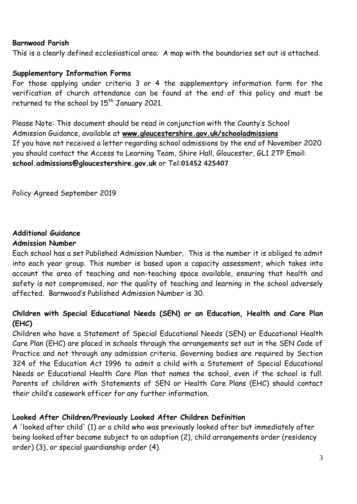#### **Barnwood Parish**

This is a clearly defined ecclesiastical area. A map with the boundaries set out is attached.

### **Supplementary Information Forms**

For those applying under criteria 3 or 4 the supplementary information form for the verification of church attendance can be found at the end of this policy and must be returned to the school by 15<sup>th</sup> January 2021.

Please Note: This document should be read in conjunction with the County's School Admission Guidance, available at **[www.gloucestershire.gov.uk/schooladmissions](http://www.gloucestershire.gov.uk/schooladmissions)** If you have not received a letter regarding school admissions by the end of November 2020 you should contact the Access to Learning Team, Shire Hall, Gloucester, GL1 2TP Email: **school.admissions@gloucestershire.gov.uk** or Tel:**01452 425407**

Policy Agreed September 2019

#### **Additional Guidance Admission Number**

Each school has a set Published Admission Number. This is the number it is obliged to admit into each year group. This number is based upon a capacity assessment, which takes into account the area of teaching and non-teaching space available, ensuring that health and safety is not compromised, nor the quality of teaching and learning in the school adversely affected. Barnwood's Published Admission Number is 30.

# **Children with Special Educational Needs (SEN) or an Education, Health and Care Plan (EHC)**

Children who have a Statement of Special Educational Needs (SEN) or Educational Health Care Plan (EHC) are placed in schools through the arrangements set out in the SEN Code of Practice and not through any admission criteria. Governing bodies are required by Section 324 of the Education Act 1996 to admit a child with a Statement of Special Educational Needs or Educational Health Care Plan that names the school, even if the school is full. Parents of children with Statements of SEN or Health Care Plans (EHC) should contact their child's casework officer for any further information.

# **Looked After Children/Previously Looked After Children Definition**

A 'looked after child' (1) or a child who was previously looked after but immediately after being looked after became subject to an adoption (2), child arrangements order (residency order) (3), or special guardianship order (4).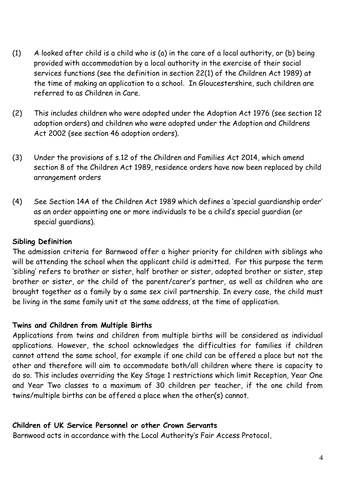- (1) A looked after child is a child who is (a) in the care of a local authority, or (b) being provided with accommodation by a local authority in the exercise of their social services functions (see the definition in section 22(1) of the Children Act 1989) at the time of making an application to a school. In Gloucestershire, such children are referred to as Children in Care.
- (2) This includes children who were adopted under the Adoption Act 1976 (see section 12 adoption orders) and children who were adopted under the Adoption and Childrens Act 2002 (see section 46 adoption orders).
- (3) Under the provisions of s.12 of the Children and Families Act 2014, which amend section 8 of the Children Act 1989, residence orders have now been replaced by child arrangement orders
- (4) See Section 14A of the Children Act 1989 which defines a 'special guardianship order' as an order appointing one or more individuals to be a child's special guardian (or special guardians).

### **Sibling Definition**

The admission criteria for Barnwood offer a higher priority for children with siblings who will be attending the school when the applicant child is admitted. For this purpose the term 'sibling' refers to brother or sister, half brother or sister, adopted brother or sister, step brother or sister, or the child of the parent/carer's partner, as well as children who are brought together as a family by a same sex civil partnership. In every case, the child must be living in the same family unit at the same address, at the time of application.

# **Twins and Children from Multiple Births**

Applications from twins and children from multiple births will be considered as individual applications. However, the school acknowledges the difficulties for families if children cannot attend the same school, for example if one child can be offered a place but not the other and therefore will aim to accommodate both/all children where there is capacity to do so. This includes overriding the Key Stage 1 restrictions which limit Reception, Year One and Year Two classes to a maximum of 30 children per teacher, if the one child from twins/multiple births can be offered a place when the other(s) cannot.

### **Children of UK Service Personnel or other Crown Servants**

Barnwood acts in accordance with the Local Authority's Fair Access Protocol,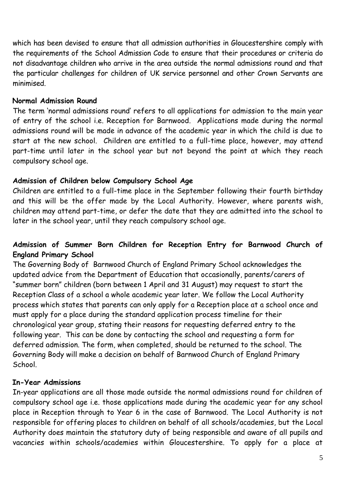which has been devised to ensure that all admission authorities in Gloucestershire comply with the requirements of the School Admission Code to ensure that their procedures or criteria do not disadvantage children who arrive in the area outside the normal admissions round and that the particular challenges for children of UK service personnel and other Crown Servants are minimised.

### **Normal Admission Round**

The term 'normal admissions round' refers to all applications for admission to the main year of entry of the school i.e. Reception for Barnwood. Applications made during the normal admissions round will be made in advance of the academic year in which the child is due to start at the new school. Children are entitled to a full-time place, however, may attend part-time until later in the school year but not beyond the point at which they reach compulsory school age.

# **Admission of Children below Compulsory School Age**

Children are entitled to a full-time place in the September following their fourth birthday and this will be the offer made by the Local Authority. However, where parents wish, children may attend part-time, or defer the date that they are admitted into the school to later in the school year, until they reach compulsory school age.

# **Admission of Summer Born Children for Reception Entry for Barnwood Church of England Primary School**

The Governing Body of Barnwood Church of England Primary School acknowledges the updated advice from the Department of Education that occasionally, parents/carers of "summer born" children (born between 1 April and 31 August) may request to start the Reception Class of a school a whole academic year later. We follow the Local Authority process which states that parents can only apply for a Reception place at a school once and must apply for a place during the standard application process timeline for their chronological year group, stating their reasons for requesting deferred entry to the following year. This can be done by contacting the school and requesting a form for deferred admission. The form, when completed, should be returned to the school. The Governing Body will make a decision on behalf of Barnwood Church of England Primary School.

# **In-Year Admissions**

In-year applications are all those made outside the normal admissions round for children of compulsory school age i.e. those applications made during the academic year for any school place in Reception through to Year 6 in the case of Barnwood. The Local Authority is not responsible for offering places to children on behalf of all schools/academies, but the Local Authority does maintain the statutory duty of being responsible and aware of all pupils and vacancies within schools/academies within Gloucestershire. To apply for a place at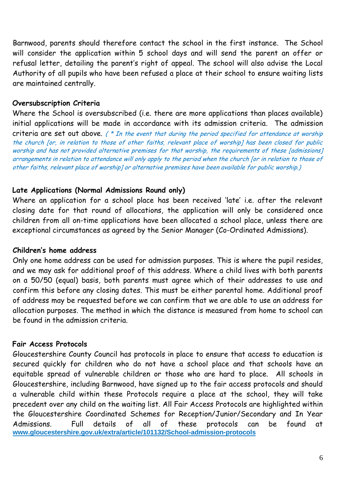Barnwood, parents should therefore contact the school in the first instance. The School will consider the application within 5 school days and will send the parent an offer or refusal letter, detailing the parent's right of appeal. The school will also advise the Local Authority of all pupils who have been refused a place at their school to ensure waiting lists are maintained centrally.

### **Oversubscription Criteria**

Where the School is oversubscribed (i.e. there are more applications than places available) initial applications will be made in accordance with its admission criteria. The admission criteria are set out above.  $($  \* In the event that during the period specified for attendance at worship the church [or, in relation to those of other faiths, relevant place of worship] has been closed for public worship and has not provided alternative premises for that worship, the requirements of these [admissions] arrangements in relation to attendance will only apply to the period when the church [or in relation to those of other faiths, relevant place of worship] or alternative premises have been available for public worship.)

### **Late Applications (Normal Admissions Round only)**

Where an application for a school place has been received 'late' i.e. after the relevant closing date for that round of allocations, the application will only be considered once children from all on-time applications have been allocated a school place, unless there are exceptional circumstances as agreed by the Senior Manager (Co-Ordinated Admissions).

### **Children's home address**

Only one home address can be used for admission purposes. This is where the pupil resides, and we may ask for additional proof of this address. Where a child lives with both parents on a 50/50 (equal) basis, both parents must agree which of their addresses to use and confirm this before any closing dates. This must be either parental home. Additional proof of address may be requested before we can confirm that we are able to use an address for allocation purposes. The method in which the distance is measured from home to school can be found in the admission criteria.

### **Fair Access Protocols**

Gloucestershire County Council has protocols in place to ensure that access to education is secured quickly for children who do not have a school place and that schools have an equitable spread of vulnerable children or those who are hard to place. All schools in Gloucestershire, including Barnwood, have signed up to the fair access protocols and should a vulnerable child within these Protocols require a place at the school, they will take precedent over any child on the waiting list. All Fair Access Protocols are highlighted within the Gloucestershire Coordinated Schemes for Reception/Junior/Secondary and In Year Admissions. Full details of all of these protocols can be found at **[www.gloucestershire.gov.uk/extra/article/101132/School-admission-protocols](http://www.gloucestershire.gov.uk/extra/article/101132/School-admission-protocols)**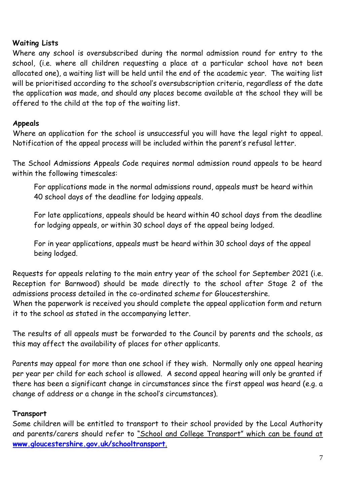# **Waiting Lists**

Where any school is oversubscribed during the normal admission round for entry to the school, (i.e. where all children requesting a place at a particular school have not been allocated one), a waiting list will be held until the end of the academic year. The waiting list will be prioritised according to the school's oversubscription criteria, regardless of the date the application was made, and should any places become available at the school they will be offered to the child at the top of the waiting list.

# **Appeals**

Where an application for the school is unsuccessful you will have the legal right to appeal. Notification of the appeal process will be included within the parent's refusal letter.

The School Admissions Appeals Code requires normal admission round appeals to be heard within the following timescales:

For applications made in the normal admissions round, appeals must be heard within 40 school days of the deadline for lodging appeals.

For late applications, appeals should be heard within 40 school days from the deadline for lodging appeals, or within 30 school days of the appeal being lodged.

For in year applications, appeals must be heard within 30 school days of the appeal being lodged.

Requests for appeals relating to the main entry year of the school for September 2021 (i.e. Reception for Barnwood) should be made directly to the school after Stage 2 of the admissions process detailed in the co-ordinated scheme for Gloucestershire. When the paperwork is received you should complete the appeal application form and return it to the school as stated in the accompanying letter.

The results of all appeals must be forwarded to the Council by parents and the schools, as this may affect the availability of places for other applicants.

Parents may appeal for more than one school if they wish. Normally only one appeal hearing per year per child for each school is allowed. A second appeal hearing will only be granted if there has been a significant change in circumstances since the first appeal was heard (e.g. a change of address or a change in the school's circumstances).

# **Transport**

Some children will be entitled to transport to their school provided by the Local Authority and parents/carers should refer to "School and College Transport" which can be found at **[www.gloucestershire.gov.uk/schooltransport](http://www.gloucestershire.gov.uk/schooltransport)**.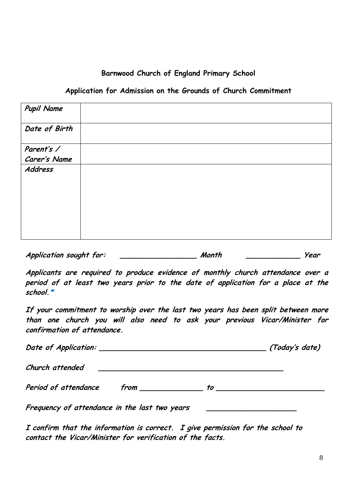### **Barnwood Church of England Primary School**

#### **Application for Admission on the Grounds of Church Commitment**

| <b>Pupil Name</b> |  |
|-------------------|--|
| Date of Birth     |  |
| Parent's /        |  |
| Carer's Name      |  |
| Address           |  |

**Application sought for: \_\_\_\_\_\_\_\_\_\_\_\_\_\_\_\_\_ Month \_\_\_\_\_\_\_\_\_\_\_\_ Year**

**Applicants are required to produce evidence of monthly church attendance over a period of at least two years prior to the date of application for a place at the school.\***

**If your commitment to worship over the last two years has been split between more than one church you will also need to ask your previous Vicar/Minister for confirmation of attendance.**

|                                               | (Today's date)                                                                                                                                                                                                                       |
|-----------------------------------------------|--------------------------------------------------------------------------------------------------------------------------------------------------------------------------------------------------------------------------------------|
| Church attended                               |                                                                                                                                                                                                                                      |
| Period of attendance                          |                                                                                                                                                                                                                                      |
| Frequency of attendance in the last two years | <u> 1980 - Jan Stein Stein Stein Stein Stein Stein Stein Stein Stein Stein Stein Stein Stein Stein Stein Stein Stein Stein Stein Stein Stein Stein Stein Stein Stein Stein Stein Stein Stein Stein Stein Stein Stein Stein Stein</u> |

**I confirm that the information is correct. I give permission for the school to contact the Vicar/Minister for verification of the facts.**